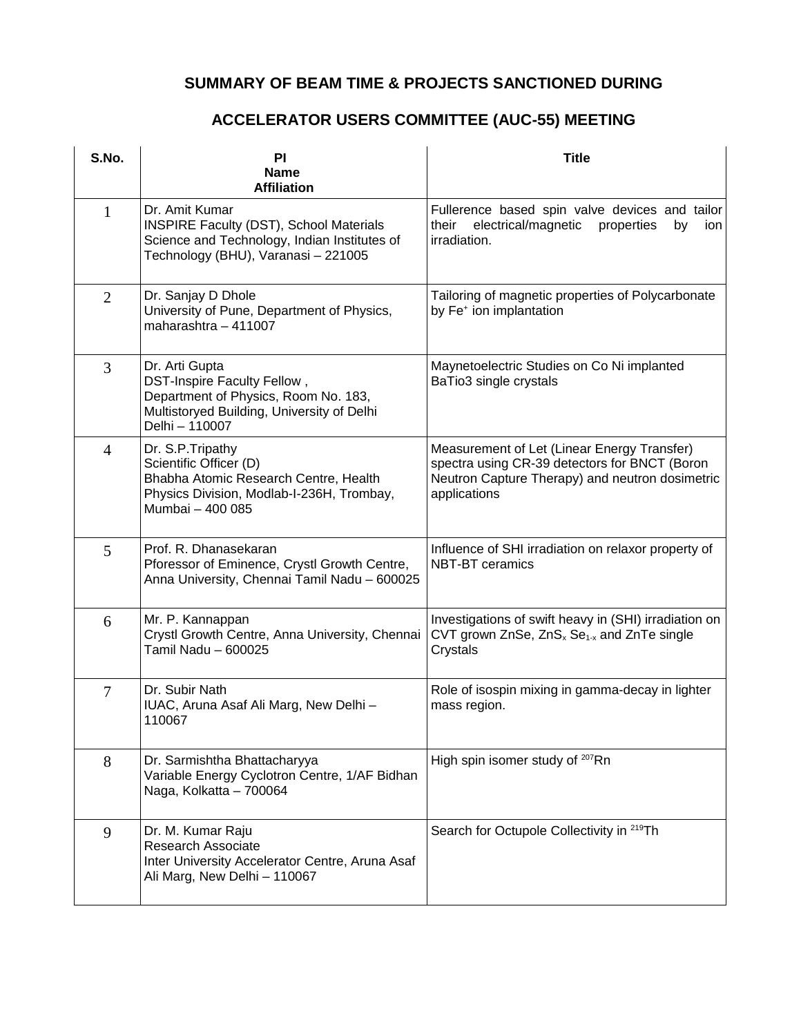## **SUMMARY OF BEAM TIME & PROJECTS SANCTIONED DURING**

## **ACCELERATOR USERS COMMITTEE (AUC-55) MEETING**

| S.No.          | PI<br><b>Name</b>                                                                                                                                     | <b>Title</b>                                                                                                                                                    |
|----------------|-------------------------------------------------------------------------------------------------------------------------------------------------------|-----------------------------------------------------------------------------------------------------------------------------------------------------------------|
|                | <b>Affiliation</b>                                                                                                                                    |                                                                                                                                                                 |
| $\mathbf{1}$   | Dr. Amit Kumar<br>INSPIRE Faculty (DST), School Materials<br>Science and Technology, Indian Institutes of<br>Technology (BHU), Varanasi - 221005      | Fullerence based spin valve devices and tailor<br>electrical/magnetic<br>their<br>properties<br>by<br>ion<br>irradiation.                                       |
| $\overline{2}$ | Dr. Sanjay D Dhole<br>University of Pune, Department of Physics,<br>maharashtra $-411007$                                                             | Tailoring of magnetic properties of Polycarbonate<br>by Fe <sup>+</sup> ion implantation                                                                        |
| 3              | Dr. Arti Gupta<br>DST-Inspire Faculty Fellow,<br>Department of Physics, Room No. 183,<br>Multistoryed Building, University of Delhi<br>Delhi - 110007 | Maynetoelectric Studies on Co Ni implanted<br>BaTio3 single crystals                                                                                            |
| $\overline{4}$ | Dr. S.P. Tripathy<br>Scientific Officer (D)<br>Bhabha Atomic Research Centre, Health<br>Physics Division, Modlab-I-236H, Trombay,<br>Mumbai - 400 085 | Measurement of Let (Linear Energy Transfer)<br>spectra using CR-39 detectors for BNCT (Boron<br>Neutron Capture Therapy) and neutron dosimetric<br>applications |
| 5              | Prof. R. Dhanasekaran<br>Pforessor of Eminence, Crystl Growth Centre,<br>Anna University, Chennai Tamil Nadu - 600025                                 | Influence of SHI irradiation on relaxor property of<br><b>NBT-BT</b> ceramics                                                                                   |
| 6              | Mr. P. Kannappan<br>Crystl Growth Centre, Anna University, Chennai<br>Tamil Nadu - 600025                                                             | Investigations of swift heavy in (SHI) irradiation on<br>CVT grown ZnSe, ZnS <sub>x</sub> Se <sub>1-x</sub> and ZnTe single<br>Crystals                         |
| 7              | Dr. Subir Nath<br>IUAC, Aruna Asaf Ali Marg, New Delhi -<br>110067                                                                                    | Role of isospin mixing in gamma-decay in lighter<br>mass region.                                                                                                |
| 8              | Dr. Sarmishtha Bhattacharyya<br>Variable Energy Cyclotron Centre, 1/AF Bidhan<br>Naga, Kolkatta - 700064                                              | High spin isomer study of <sup>207</sup> Rn                                                                                                                     |
| 9              | Dr. M. Kumar Raju<br>Research Associate<br>Inter University Accelerator Centre, Aruna Asaf<br>Ali Marg, New Delhi - 110067                            | Search for Octupole Collectivity in <sup>219</sup> Th                                                                                                           |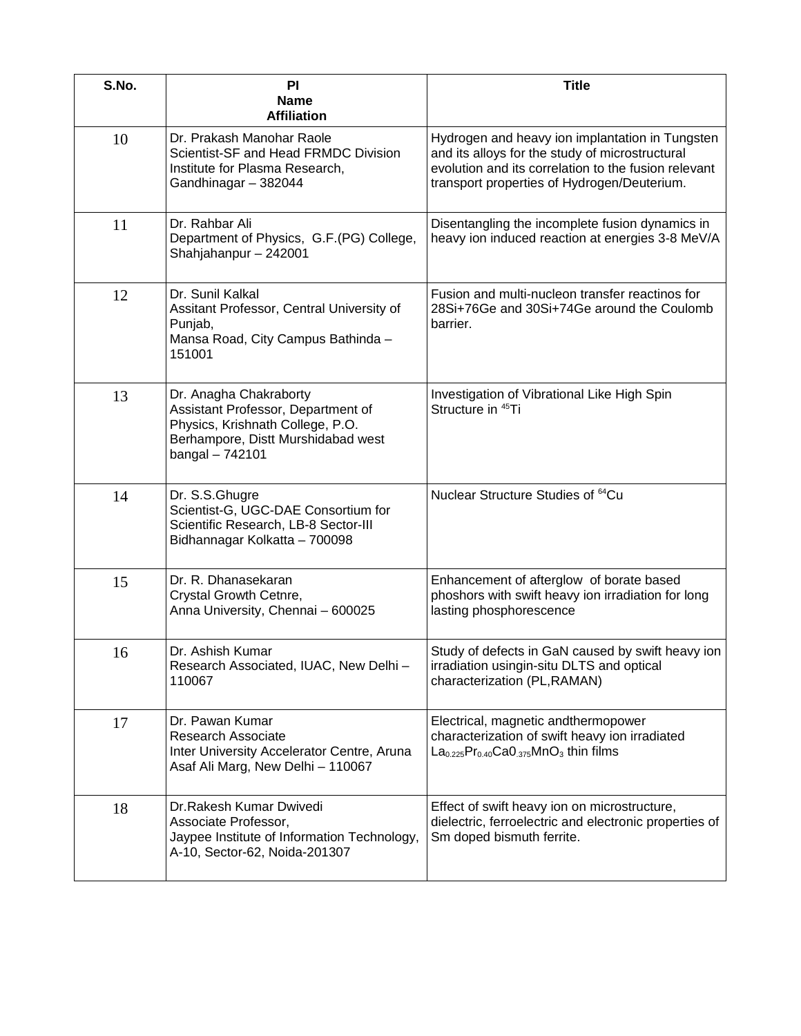| S.No. | PI<br><b>Name</b><br><b>Affiliation</b>                                                                                                                       | <b>Title</b>                                                                                                                                                                                              |
|-------|---------------------------------------------------------------------------------------------------------------------------------------------------------------|-----------------------------------------------------------------------------------------------------------------------------------------------------------------------------------------------------------|
| 10    | Dr. Prakash Manohar Raole<br>Scientist-SF and Head FRMDC Division<br>Institute for Plasma Research,<br>Gandhinagar - 382044                                   | Hydrogen and heavy ion implantation in Tungsten<br>and its alloys for the study of microstructural<br>evolution and its correlation to the fusion relevant<br>transport properties of Hydrogen/Deuterium. |
| 11    | Dr. Rahbar Ali<br>Department of Physics, G.F.(PG) College,<br>Shahjahanpur - 242001                                                                           | Disentangling the incomplete fusion dynamics in<br>heavy ion induced reaction at energies 3-8 MeV/A                                                                                                       |
| 12    | Dr. Sunil Kalkal<br>Assitant Professor, Central University of<br>Punjab,<br>Mansa Road, City Campus Bathinda -<br>151001                                      | Fusion and multi-nucleon transfer reactinos for<br>28Si+76Ge and 30Si+74Ge around the Coulomb<br>barrier.                                                                                                 |
| 13    | Dr. Anagha Chakraborty<br>Assistant Professor, Department of<br>Physics, Krishnath College, P.O.<br>Berhampore, Distt Murshidabad west<br>$b$ angal $-742101$ | Investigation of Vibrational Like High Spin<br>Structure in <sup>45</sup> Ti                                                                                                                              |
| 14    | Dr. S.S.Ghugre<br>Scientist-G, UGC-DAE Consortium for<br>Scientific Research, LB-8 Sector-III<br>Bidhannagar Kolkatta - 700098                                | Nuclear Structure Studies of <sup>64</sup> Cu                                                                                                                                                             |
| 15    | Dr. R. Dhanasekaran<br>Crystal Growth Cetnre,<br>Anna University, Chennai - 600025                                                                            | Enhancement of afterglow of borate based<br>phoshors with swift heavy ion irradiation for long<br>lasting phosphorescence                                                                                 |
| 16    | Dr. Ashish Kumar<br>Research Associated, IUAC, New Delhi -<br>110067                                                                                          | Study of defects in GaN caused by swift heavy ion<br>irradiation usingin-situ DLTS and optical<br>characterization (PL, RAMAN)                                                                            |
| 17    | Dr. Pawan Kumar<br><b>Research Associate</b><br>Inter University Accelerator Centre, Aruna<br>Asaf Ali Marg, New Delhi - 110067                               | Electrical, magnetic andthermopower<br>characterization of swift heavy ion irradiated<br>$La0.225Pr0.40CaO.375MnO3 thin films$                                                                            |
| 18    | Dr.Rakesh Kumar Dwivedi<br>Associate Professor,<br>Jaypee Institute of Information Technology,<br>A-10, Sector-62, Noida-201307                               | Effect of swift heavy ion on microstructure,<br>dielectric, ferroelectric and electronic properties of<br>Sm doped bismuth ferrite.                                                                       |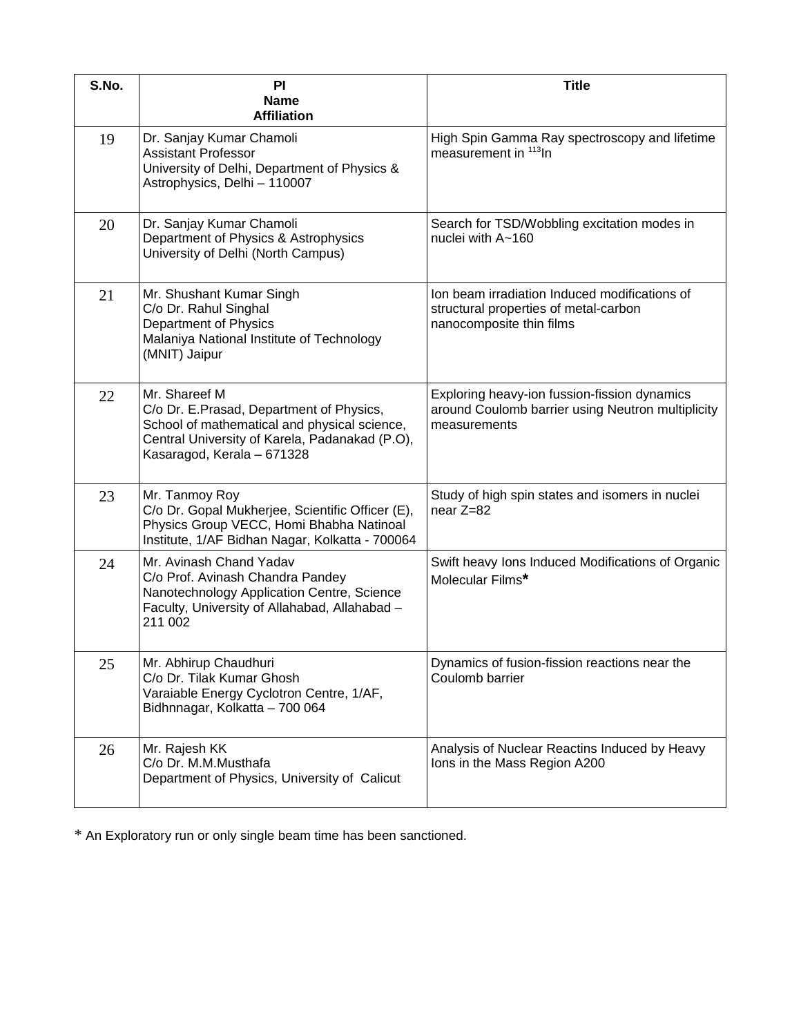| S.No. | PI<br><b>Name</b><br><b>Affiliation</b>                                                                                                                                                   | <b>Title</b>                                                                                                       |
|-------|-------------------------------------------------------------------------------------------------------------------------------------------------------------------------------------------|--------------------------------------------------------------------------------------------------------------------|
| 19    | Dr. Sanjay Kumar Chamoli<br><b>Assistant Professor</b><br>University of Delhi, Department of Physics &<br>Astrophysics, Delhi - 110007                                                    | High Spin Gamma Ray spectroscopy and lifetime<br>measurement in 113In                                              |
| 20    | Dr. Sanjay Kumar Chamoli<br>Department of Physics & Astrophysics<br>University of Delhi (North Campus)                                                                                    | Search for TSD/Wobbling excitation modes in<br>nuclei with A~160                                                   |
| 21    | Mr. Shushant Kumar Singh<br>C/o Dr. Rahul Singhal<br>Department of Physics<br>Malaniya National Institute of Technology<br>(MNIT) Jaipur                                                  | Ion beam irradiation Induced modifications of<br>structural properties of metal-carbon<br>nanocomposite thin films |
| 22    | Mr. Shareef M<br>C/o Dr. E.Prasad, Department of Physics,<br>School of mathematical and physical science,<br>Central University of Karela, Padanakad (P.O),<br>Kasaragod, Kerala - 671328 | Exploring heavy-ion fussion-fission dynamics<br>around Coulomb barrier using Neutron multiplicity<br>measurements  |
| 23    | Mr. Tanmoy Roy<br>C/o Dr. Gopal Mukherjee, Scientific Officer (E),<br>Physics Group VECC, Homi Bhabha Natinoal<br>Institute, 1/AF Bidhan Nagar, Kolkatta - 700064                         | Study of high spin states and isomers in nuclei<br>near Z=82                                                       |
| 24    | Mr. Avinash Chand Yadav<br>C/o Prof. Avinash Chandra Pandey<br>Nanotechnology Application Centre, Science<br>Faculty, University of Allahabad, Allahabad -<br>211 002                     | Swift heavy lons Induced Modifications of Organic<br>Molecular Films*                                              |
| 25    | Mr. Abhirup Chaudhuri<br>C/o Dr. Tilak Kumar Ghosh<br>Varaiable Energy Cyclotron Centre, 1/AF,<br>Bidhnnagar, Kolkatta - 700 064                                                          | Dynamics of fusion-fission reactions near the<br>Coulomb barrier                                                   |
| 26    | Mr. Rajesh KK<br>C/o Dr. M.M.Musthafa<br>Department of Physics, University of Calicut                                                                                                     | Analysis of Nuclear Reactins Induced by Heavy<br>Ions in the Mass Region A200                                      |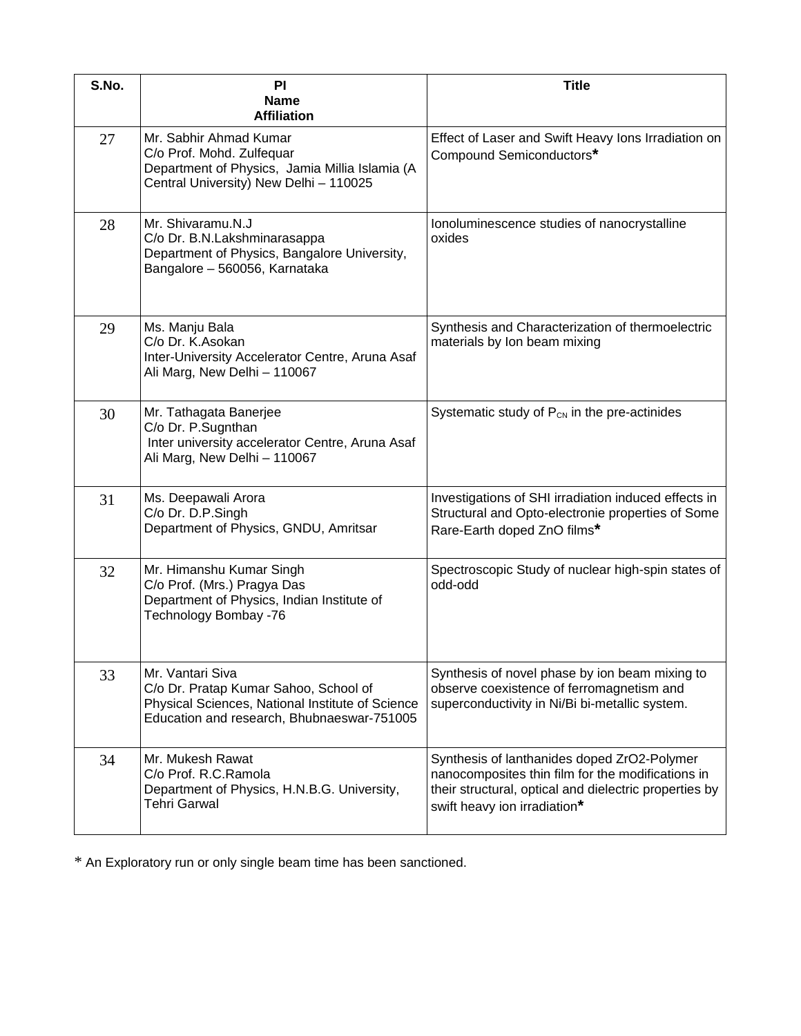| S.No. | PI<br><b>Name</b><br><b>Affiliation</b>                                                                                                                     | <b>Title</b>                                                                                                                                                                               |
|-------|-------------------------------------------------------------------------------------------------------------------------------------------------------------|--------------------------------------------------------------------------------------------------------------------------------------------------------------------------------------------|
| 27    | Mr. Sabhir Ahmad Kumar<br>C/o Prof. Mohd. Zulfequar<br>Department of Physics, Jamia Millia Islamia (A<br>Central University) New Delhi - 110025             | Effect of Laser and Swift Heavy Ions Irradiation on<br>Compound Semiconductors*                                                                                                            |
| 28    | Mr. Shivaramu.N.J<br>C/o Dr. B.N.Lakshminarasappa<br>Department of Physics, Bangalore University,<br>Bangalore - 560056, Karnataka                          | Ionoluminescence studies of nanocrystalline<br>oxides                                                                                                                                      |
| 29    | Ms. Manju Bala<br>C/o Dr. K.Asokan<br>Inter-University Accelerator Centre, Aruna Asaf<br>Ali Marg, New Delhi - 110067                                       | Synthesis and Characterization of thermoelectric<br>materials by Ion beam mixing                                                                                                           |
| 30    | Mr. Tathagata Banerjee<br>C/o Dr. P.Sugnthan<br>Inter university accelerator Centre, Aruna Asaf<br>Ali Marg, New Delhi - 110067                             | Systematic study of $P_{CN}$ in the pre-actinides                                                                                                                                          |
| 31    | Ms. Deepawali Arora<br>C/o Dr. D.P.Singh<br>Department of Physics, GNDU, Amritsar                                                                           | Investigations of SHI irradiation induced effects in<br>Structural and Opto-electronie properties of Some<br>Rare-Earth doped ZnO films*                                                   |
| 32    | Mr. Himanshu Kumar Singh<br>C/o Prof. (Mrs.) Pragya Das<br>Department of Physics, Indian Institute of<br>Technology Bombay -76                              | Spectroscopic Study of nuclear high-spin states of<br>odd-odd                                                                                                                              |
| 33    | Mr. Vantari Siva<br>C/o Dr. Pratap Kumar Sahoo, School of<br>Physical Sciences, National Institute of Science<br>Education and research, Bhubnaeswar-751005 | Synthesis of novel phase by ion beam mixing to<br>observe coexistence of ferromagnetism and<br>superconductivity in Ni/Bi bi-metallic system.                                              |
| 34    | Mr. Mukesh Rawat<br>C/o Prof. R.C.Ramola<br>Department of Physics, H.N.B.G. University,<br><b>Tehri Garwal</b>                                              | Synthesis of lanthanides doped ZrO2-Polymer<br>nanocomposites thin film for the modifications in<br>their structural, optical and dielectric properties by<br>swift heavy ion irradiation* |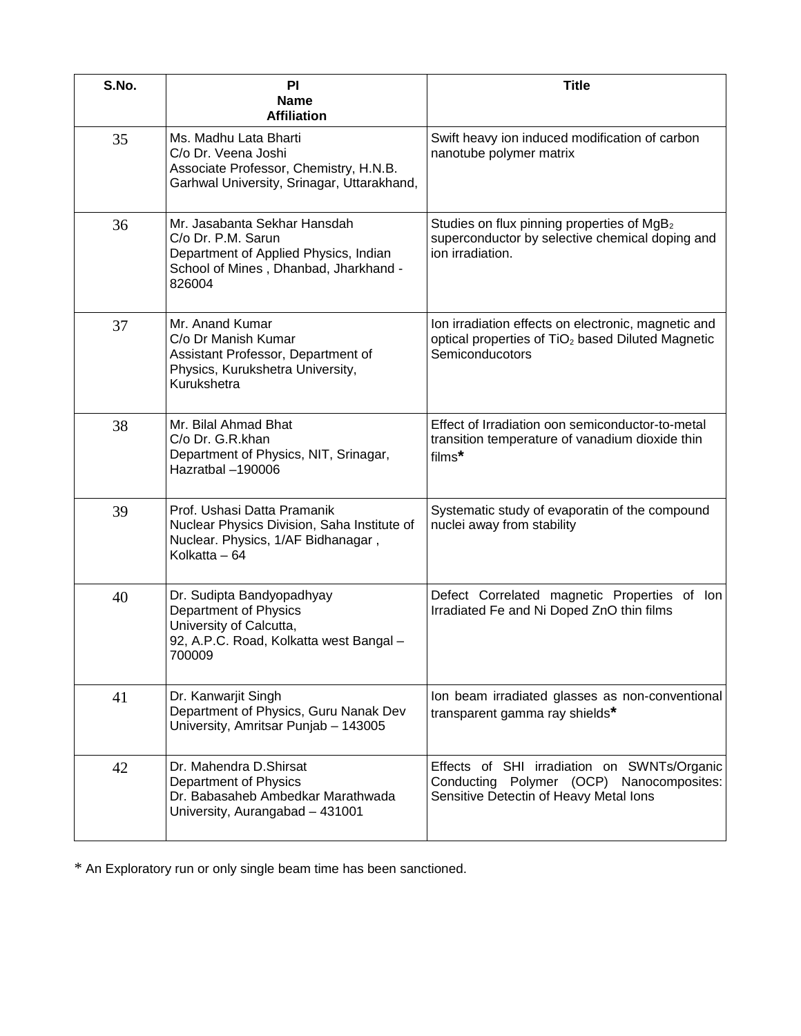| S.No. | PI<br><b>Name</b><br><b>Affiliation</b>                                                                                                        | <b>Title</b>                                                                                                                            |
|-------|------------------------------------------------------------------------------------------------------------------------------------------------|-----------------------------------------------------------------------------------------------------------------------------------------|
| 35    | Ms. Madhu Lata Bharti<br>C/o Dr. Veena Joshi<br>Associate Professor, Chemistry, H.N.B.<br>Garhwal University, Srinagar, Uttarakhand,           | Swift heavy ion induced modification of carbon<br>nanotube polymer matrix                                                               |
| 36    | Mr. Jasabanta Sekhar Hansdah<br>C/o Dr. P.M. Sarun<br>Department of Applied Physics, Indian<br>School of Mines, Dhanbad, Jharkhand -<br>826004 | Studies on flux pinning properties of MgB <sub>2</sub><br>superconductor by selective chemical doping and<br>ion irradiation.           |
| 37    | Mr. Anand Kumar<br>C/o Dr Manish Kumar<br>Assistant Professor, Department of<br>Physics, Kurukshetra University,<br>Kurukshetra                | Ion irradiation effects on electronic, magnetic and<br>optical properties of TiO <sub>2</sub> based Diluted Magnetic<br>Semiconducotors |
| 38    | Mr. Bilal Ahmad Bhat<br>C/o Dr. G.R.khan<br>Department of Physics, NIT, Srinagar,<br>Hazratbal -190006                                         | Effect of Irradiation oon semiconductor-to-metal<br>transition temperature of vanadium dioxide thin<br>films*                           |
| 39    | Prof. Ushasi Datta Pramanik<br>Nuclear Physics Division, Saha Institute of<br>Nuclear. Physics, 1/AF Bidhanagar,<br>Kolkatta - 64              | Systematic study of evaporatin of the compound<br>nuclei away from stability                                                            |
| 40    | Dr. Sudipta Bandyopadhyay<br><b>Department of Physics</b><br>University of Calcutta,<br>92, A.P.C. Road, Kolkatta west Bangal -<br>700009      | Defect Correlated magnetic Properties of Ion<br>Irradiated Fe and Ni Doped ZnO thin films                                               |
| 41    | Dr. Kanwarjit Singh<br>Department of Physics, Guru Nanak Dev<br>University, Amritsar Punjab - 143005                                           | Ion beam irradiated glasses as non-conventional<br>transparent gamma ray shields*                                                       |
| 42    | Dr. Mahendra D. Shirsat<br>Department of Physics<br>Dr. Babasaheb Ambedkar Marathwada<br>University, Aurangabad - 431001                       | Effects of SHI irradiation on SWNTs/Organic<br>Conducting Polymer (OCP) Nanocomposites:<br>Sensitive Detectin of Heavy Metal Ions       |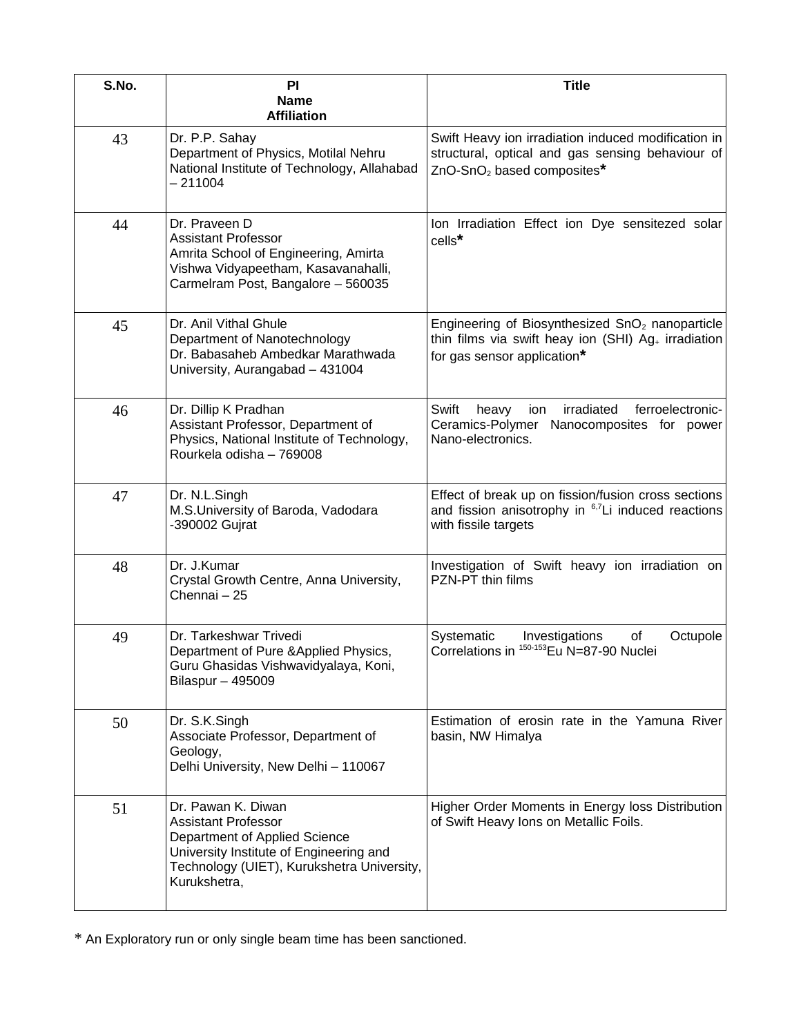| S.No. | PI<br><b>Name</b><br><b>Affiliation</b>                                                                                                                                                    | <b>Title</b>                                                                                                                                           |
|-------|--------------------------------------------------------------------------------------------------------------------------------------------------------------------------------------------|--------------------------------------------------------------------------------------------------------------------------------------------------------|
| 43    | Dr. P.P. Sahay<br>Department of Physics, Motilal Nehru<br>National Institute of Technology, Allahabad<br>$-211004$                                                                         | Swift Heavy ion irradiation induced modification in<br>structural, optical and gas sensing behaviour of<br>ZnO-SnO <sub>2</sub> based composites*      |
| 44    | Dr. Praveen D<br><b>Assistant Professor</b><br>Amrita School of Engineering, Amirta<br>Vishwa Vidyapeetham, Kasavanahalli,<br>Carmelram Post, Bangalore - 560035                           | Ion Irradiation Effect ion Dye sensitezed solar<br>cells*                                                                                              |
| 45    | Dr. Anil Vithal Ghule<br>Department of Nanotechnology<br>Dr. Babasaheb Ambedkar Marathwada<br>University, Aurangabad - 431004                                                              | Engineering of Biosynthesized SnO <sub>2</sub> nanoparticle<br>thin films via swift heay ion (SHI) $Ag_{+}$ irradiation<br>for gas sensor application* |
| 46    | Dr. Dillip K Pradhan<br>Assistant Professor, Department of<br>Physics, National Institute of Technology,<br>Rourkela odisha - 769008                                                       | irradiated<br>ferroelectronic-<br>Swift<br>heavy<br>ion<br>Ceramics-Polymer Nanocomposites for power<br>Nano-electronics.                              |
| 47    | Dr. N.L.Singh<br>M.S.University of Baroda, Vadodara<br>-390002 Gujrat                                                                                                                      | Effect of break up on fission/fusion cross sections<br>and fission anisotrophy in $6.7$ Li induced reactions<br>with fissile targets                   |
| 48    | Dr. J.Kumar<br>Crystal Growth Centre, Anna University,<br>Chennai - 25                                                                                                                     | Investigation of Swift heavy ion irradiation on<br>PZN-PT thin films                                                                                   |
| 49    | Dr. Tarkeshwar Trivedi<br>Department of Pure & Applied Physics,<br>Guru Ghasidas Vishwavidyalaya, Koni,<br>Bilaspur - 495009                                                               | Systematic<br>of<br>Investigations<br>Octupole<br>Correlations in 150-153 Eu N=87-90 Nuclei                                                            |
| 50    | Dr. S.K.Singh<br>Associate Professor, Department of<br>Geology,<br>Delhi University, New Delhi - 110067                                                                                    | Estimation of erosin rate in the Yamuna River<br>basin, NW Himalya                                                                                     |
| 51    | Dr. Pawan K. Diwan<br><b>Assistant Professor</b><br>Department of Applied Science<br>University Institute of Engineering and<br>Technology (UIET), Kurukshetra University,<br>Kurukshetra, | Higher Order Moments in Energy loss Distribution<br>of Swift Heavy Ions on Metallic Foils.                                                             |